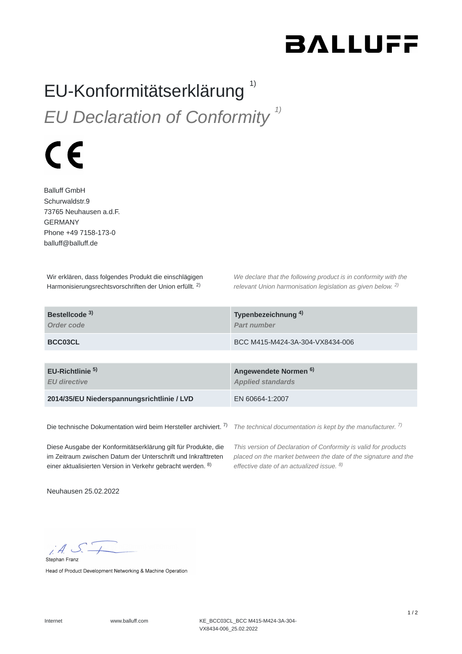## **BALLUFF**

## EU-Konformitätserklärung *EU Declaration of Conformity 1)* 1)



Balluff GmbH Schurwaldstr.9 73765 Neuhausen a.d.F. GERMANY Phone +49 7158-173-0 balluff@balluff.de

Wir erklären, dass folgendes Produkt die einschlägigen Harmonisierungsrechtsvorschriften der Union erfüllt. <sup>2)</sup>

*We declare that the following product is in conformity with the relevant Union harmonisation legislation as given below.*  2) *2)*

| Bestellcode <sup>3)</sup><br>Order code            | Typenbezeichnung <sup>4)</sup><br><b>Part number</b>         |
|----------------------------------------------------|--------------------------------------------------------------|
| BCC03CL                                            | BCC M415-M424-3A-304-VX8434-006                              |
|                                                    |                                                              |
| EU-Richtlinie <sup>5)</sup><br><b>EU directive</b> | Angewendete Normen <sup>6)</sup><br><b>Applied standards</b> |
| 2014/35/EU Niederspannungsrichtlinie / LVD         | EN 60664-1:2007                                              |
|                                                    |                                                              |

Die technische Dokumentation wird beim Hersteller archiviert. 7)

*The technical documentation is kept by the manufacturer. 7)*

Diese Ausgabe der Konformitätserklärung gilt für Produkte, die im Zeitraum zwischen Datum der Unterschrift und Inkrafttreten einer aktualisierten Version in Verkehr gebracht werden. 8)

*This version of Declaration of Conformity is valid for products placed on the market between the date of the signature and the effective date of an actualized issue. 8)*

Neuhausen 25.02.2022

 $A S$ Stephan Franz

Head of Product Development Networking & Machine Operation